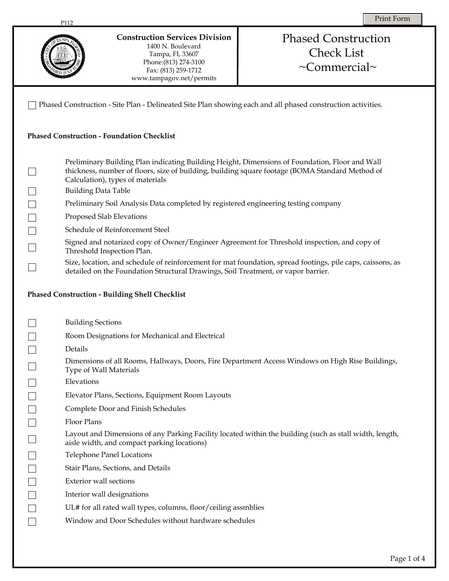|                                                                                                             | <b>Construction Services Division</b><br>1400 N. Boulevard<br>Tampa, FL 33607<br>Phone: (813) 274-3100<br>Fax: (813) 259-1712<br>www.tampagov.net/permits                                                                                                                                                                                                                                                                                                                                                                                                                                                                                                                                                                                                                                                         | <b>Phased Construction</b><br><b>Check List</b><br>$\sim$ Commercial $\sim$ |  |  |
|-------------------------------------------------------------------------------------------------------------|-------------------------------------------------------------------------------------------------------------------------------------------------------------------------------------------------------------------------------------------------------------------------------------------------------------------------------------------------------------------------------------------------------------------------------------------------------------------------------------------------------------------------------------------------------------------------------------------------------------------------------------------------------------------------------------------------------------------------------------------------------------------------------------------------------------------|-----------------------------------------------------------------------------|--|--|
| Phased Construction - Site Plan - Delineated Site Plan showing each and all phased construction activities. |                                                                                                                                                                                                                                                                                                                                                                                                                                                                                                                                                                                                                                                                                                                                                                                                                   |                                                                             |  |  |
| <b>Phased Construction - Foundation Checklist</b>                                                           |                                                                                                                                                                                                                                                                                                                                                                                                                                                                                                                                                                                                                                                                                                                                                                                                                   |                                                                             |  |  |
|                                                                                                             | Preliminary Building Plan indicating Building Height, Dimensions of Foundation, Floor and Wall<br>thickness, number of floors, size of building, building square footage (BOMA Standard Method of<br>Calculation), types of materials<br><b>Building Data Table</b><br>Preliminary Soil Analysis Data completed by registered engineering testing company<br>Proposed Slab Elevations<br>Schedule of Reinforcement Steel<br>Signed and notarized copy of Owner/Engineer Agreement for Threshold inspection, and copy of<br>Threshold Inspection Plan.<br>Size, location, and schedule of reinforcement for mat foundation, spread footings, pile caps, caissons, as<br>detailed on the Foundation Structural Drawings, Soil Treatment, or vapor barrier.<br><b>Phased Construction - Building Shell Checklist</b> |                                                                             |  |  |
|                                                                                                             | <b>Building Sections</b>                                                                                                                                                                                                                                                                                                                                                                                                                                                                                                                                                                                                                                                                                                                                                                                          |                                                                             |  |  |
|                                                                                                             | Room Designations for Mechanical and Electrical                                                                                                                                                                                                                                                                                                                                                                                                                                                                                                                                                                                                                                                                                                                                                                   |                                                                             |  |  |
|                                                                                                             | Details                                                                                                                                                                                                                                                                                                                                                                                                                                                                                                                                                                                                                                                                                                                                                                                                           |                                                                             |  |  |
|                                                                                                             | Dimensions of all Rooms, Hallways, Doors, Fire Department Access Windows on High Rise Buildings,<br>Type of Wall Materials                                                                                                                                                                                                                                                                                                                                                                                                                                                                                                                                                                                                                                                                                        |                                                                             |  |  |
|                                                                                                             | Elevations                                                                                                                                                                                                                                                                                                                                                                                                                                                                                                                                                                                                                                                                                                                                                                                                        |                                                                             |  |  |
|                                                                                                             | Elevator Plans, Sections, Equipment Room Layouts                                                                                                                                                                                                                                                                                                                                                                                                                                                                                                                                                                                                                                                                                                                                                                  |                                                                             |  |  |
|                                                                                                             | Complete Door and Finish Schedules                                                                                                                                                                                                                                                                                                                                                                                                                                                                                                                                                                                                                                                                                                                                                                                |                                                                             |  |  |
|                                                                                                             | <b>Floor Plans</b>                                                                                                                                                                                                                                                                                                                                                                                                                                                                                                                                                                                                                                                                                                                                                                                                |                                                                             |  |  |
|                                                                                                             | Layout and Dimensions of any Parking Facility located within the building (such as stall width, length,<br>aisle width, and compact parking locations)                                                                                                                                                                                                                                                                                                                                                                                                                                                                                                                                                                                                                                                            |                                                                             |  |  |
|                                                                                                             | <b>Telephone Panel Locations</b>                                                                                                                                                                                                                                                                                                                                                                                                                                                                                                                                                                                                                                                                                                                                                                                  |                                                                             |  |  |
|                                                                                                             | Stair Plans, Sections, and Details                                                                                                                                                                                                                                                                                                                                                                                                                                                                                                                                                                                                                                                                                                                                                                                |                                                                             |  |  |
|                                                                                                             | Exterior wall sections                                                                                                                                                                                                                                                                                                                                                                                                                                                                                                                                                                                                                                                                                                                                                                                            |                                                                             |  |  |
|                                                                                                             | Interior wall designations                                                                                                                                                                                                                                                                                                                                                                                                                                                                                                                                                                                                                                                                                                                                                                                        |                                                                             |  |  |
|                                                                                                             | UL# for all rated wall types, columns, floor/ceiling assmblies                                                                                                                                                                                                                                                                                                                                                                                                                                                                                                                                                                                                                                                                                                                                                    |                                                                             |  |  |
|                                                                                                             | Window and Door Schedules without hardware schedules                                                                                                                                                                                                                                                                                                                                                                                                                                                                                                                                                                                                                                                                                                                                                              |                                                                             |  |  |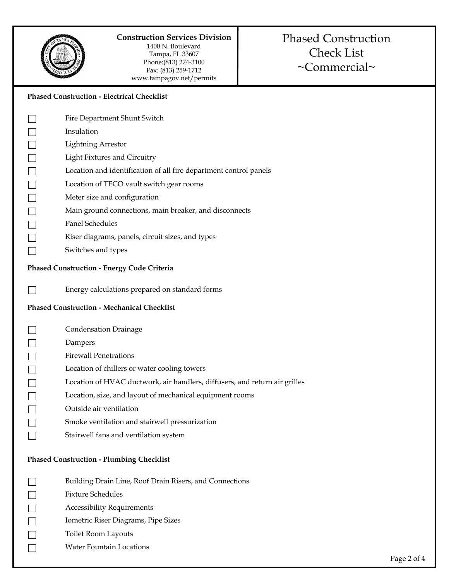

#### **Construction Services Division**  1400 N. Boulevard

Tampa, FL 33607 Phone:(813) 274-3100 Fax: (813) 259-1712 www.tampagov.net/permits

# Phased Construction Check List ~Commercial~

|                                                | <b>Phased Construction - Electrical Checklist</b>                          |  |  |
|------------------------------------------------|----------------------------------------------------------------------------|--|--|
|                                                | Fire Department Shunt Switch                                               |  |  |
|                                                | Insulation                                                                 |  |  |
|                                                | <b>Lightning Arrestor</b>                                                  |  |  |
| $\Box$                                         | <b>Light Fixtures and Circuitry</b>                                        |  |  |
| $\begin{array}{ccc} \hline \hline \end{array}$ | Location and identification of all fire department control panels          |  |  |
|                                                | Location of TECO vault switch gear rooms                                   |  |  |
| $\Box$                                         | Meter size and configuration                                               |  |  |
|                                                | Main ground connections, main breaker, and disconnects                     |  |  |
| $\Box$                                         | Panel Schedules                                                            |  |  |
|                                                | Riser diagrams, panels, circuit sizes, and types                           |  |  |
|                                                | Switches and types                                                         |  |  |
|                                                | Phased Construction - Energy Code Criteria                                 |  |  |
|                                                | Energy calculations prepared on standard forms                             |  |  |
|                                                | <b>Phased Construction - Mechanical Checklist</b>                          |  |  |
|                                                | <b>Condensation Drainage</b>                                               |  |  |
|                                                | Dampers                                                                    |  |  |
| $\Box$                                         | <b>Firewall Penetrations</b>                                               |  |  |
| $\Box$                                         | Location of chillers or water cooling towers                               |  |  |
|                                                | Location of HVAC ductwork, air handlers, diffusers, and return air grilles |  |  |
|                                                | Location, size, and layout of mechanical equipment rooms                   |  |  |
|                                                | Outside air ventilation                                                    |  |  |
|                                                | Smoke ventilation and stairwell pressurization                             |  |  |
|                                                | Stairwell fans and ventilation system                                      |  |  |
|                                                | <b>Phased Construction - Plumbing Checklist</b>                            |  |  |
|                                                | Building Drain Line, Roof Drain Risers, and Connections                    |  |  |
|                                                | <b>Fixture Schedules</b>                                                   |  |  |
|                                                | <b>Accessibility Requirements</b>                                          |  |  |
|                                                | Iometric Riser Diagrams, Pipe Sizes                                        |  |  |
|                                                | Toilet Room Layouts                                                        |  |  |

Water Fountain Locations

 $\Box$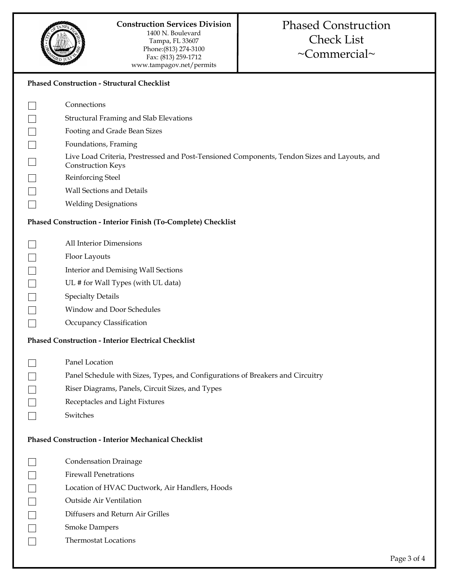

| <b>Phased Construction - Structural Checklist</b>             |                                                                                                                          |  |  |
|---------------------------------------------------------------|--------------------------------------------------------------------------------------------------------------------------|--|--|
|                                                               | Connections                                                                                                              |  |  |
|                                                               | <b>Structural Framing and Slab Elevations</b>                                                                            |  |  |
|                                                               | Footing and Grade Bean Sizes                                                                                             |  |  |
|                                                               | Foundations, Framing                                                                                                     |  |  |
|                                                               | Live Load Criteria, Prestressed and Post-Tensioned Components, Tendon Sizes and Layouts, and<br><b>Construction Keys</b> |  |  |
|                                                               | Reinforcing Steel                                                                                                        |  |  |
|                                                               | Wall Sections and Details                                                                                                |  |  |
|                                                               | <b>Welding Designations</b>                                                                                              |  |  |
| Phased Construction - Interior Finish (To-Complete) Checklist |                                                                                                                          |  |  |
|                                                               | All Interior Dimensions                                                                                                  |  |  |
|                                                               | Floor Layouts                                                                                                            |  |  |
|                                                               | Interior and Demising Wall Sections                                                                                      |  |  |
|                                                               | UL # for Wall Types (with UL data)                                                                                       |  |  |
|                                                               | <b>Specialty Details</b>                                                                                                 |  |  |
|                                                               | Window and Door Schedules                                                                                                |  |  |
|                                                               | Occupancy Classification                                                                                                 |  |  |
| <b>Phased Construction - Interior Electrical Checklist</b>    |                                                                                                                          |  |  |
|                                                               | Panel Location                                                                                                           |  |  |
|                                                               | Panel Schedule with Sizes, Types, and Configurations of Breakers and Circuitry                                           |  |  |
|                                                               | Riser Diagrams, Panels, Circuit Sizes, and Types                                                                         |  |  |
|                                                               | Receptacles and Light Fixtures                                                                                           |  |  |
|                                                               | Switches                                                                                                                 |  |  |
| <b>Phased Construction - Interior Mechanical Checklist</b>    |                                                                                                                          |  |  |
|                                                               | <b>Condensation Drainage</b>                                                                                             |  |  |
|                                                               | <b>Firewall Penetrations</b>                                                                                             |  |  |
|                                                               | Location of HVAC Ductwork, Air Handlers, Hoods                                                                           |  |  |
|                                                               | Outside Air Ventilation                                                                                                  |  |  |
|                                                               | Diffusers and Return Air Grilles                                                                                         |  |  |
|                                                               | <b>Smoke Dampers</b>                                                                                                     |  |  |
|                                                               | <b>Thermostat Locations</b>                                                                                              |  |  |